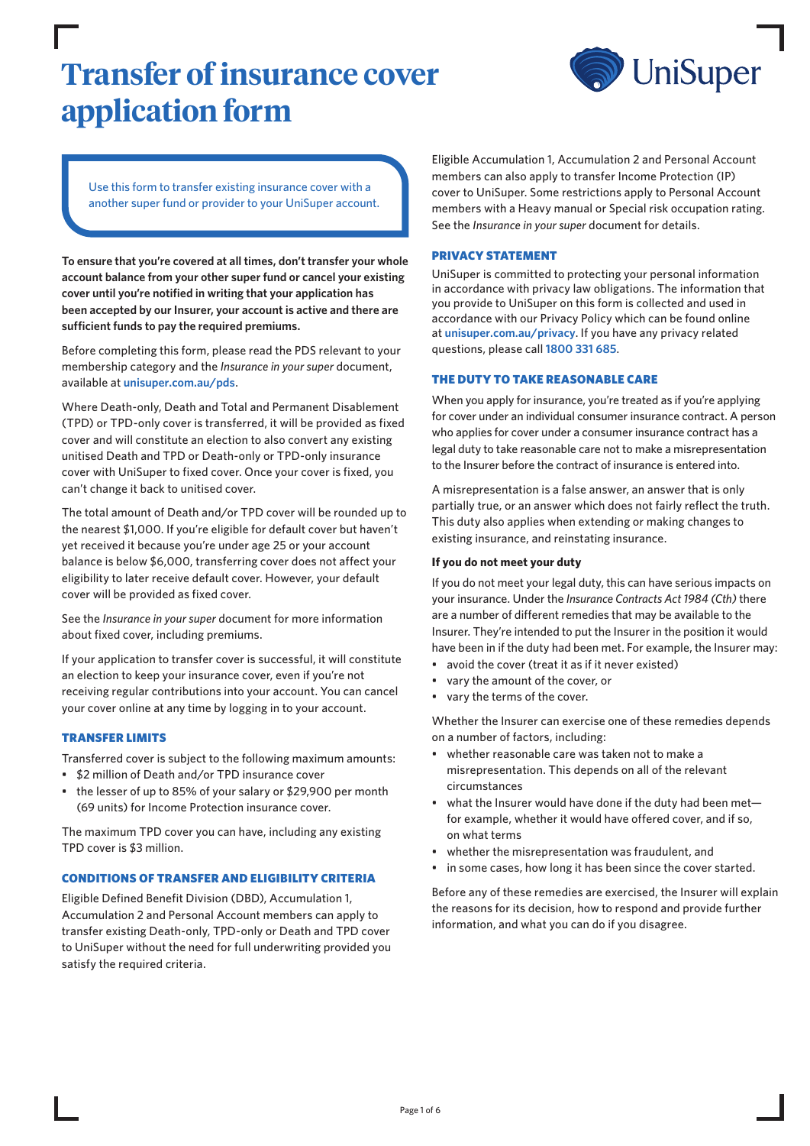# **Transfer of insurance cover application form**



Use this form to transfer existing insurance cover with a another super fund or provider to your UniSuper account.

**To ensure that you're covered at all times, don't transfer your whole account balance from your other super fund or cancel your existing cover until you're notified in writing that your application has been accepted by our Insurer, your account is active and there are sufficient funds to pay the required premiums.**

Before completing this form, please read the PDS relevant to your membership category and the *Insurance in your super* document, available at **[unisuper.com.au/pds](http://unisuper.com.au/pds)** .

Where Death-only, Death and Total and Permanent Disablement (TPD) or TPD-only cover is transferred, it will be provided as fixed cover and will constitute an election to also convert any existing unitised Death and TPD or Death-only or TPD-only insurance cover with UniSuper to fixed cover. Once your cover is fixed, you can't change it back to unitised cover.

The total amount of Death and/or TPD cover will be rounded up to the nearest \$1,000. If you're eligible for default cover but haven't yet received it because you're under age 25 or your account balance is below \$6,000, transferring cover does not affect your eligibility to later receive default cover. However, your default cover will be provided as fixed cover.

See the *Insurance in your super* document for more information about fixed cover, including premiums.

If your application to transfer cover is successful, it will constitute an election to keep your insurance cover, even if you're not receiving regular contributions into your account. You can cancel your cover online at any time by logging in to your account.

## TRANSFER LIMITS

Transferred cover is subject to the following maximum amounts:

- \$2 million of Death and/or TPD insurance cover
- the lesser of up to 85% of your salary or \$29,900 per month (69 units) for Income Protection insurance cover.

The maximum TPD cover you can have, including any existing TPD cover is \$3 million.

## CONDITIONS OF TRANSFER AND ELIGIBILITY CRITERIA

Eligible Defined Benefit Division (DBD), Accumulation 1, Accumulation 2 and Personal Account members can apply to transfer existing Death-only, TPD-only or Death and TPD cover to UniSuper without the need for full underwriting provided you satisfy the required criteria.

Eligible Accumulation 1, Accumulation 2 and Personal Account members can also apply to transfer Income Protection (IP) cover to UniSuper. Some restrictions apply to Personal Account members with a Heavy manual or Special risk occupation rating. See the *Insurance in your super* document for details.

## PRIVACY STATEMENT

UniSuper is committed to protecting your personal information in accordance with privacy law obligations. The information that you provide to UniSuper on this form is collected and used in accordance with our Privacy Policy which can be found online at **[unisuper.com.au/privacy](http://unisuper.com.au/privacy)** . If you have any privacy related questions, please call **1800 331 685**.

## THE DUTY TO TAKE REASONABLE CARE

When you apply for insurance, you're treated as if you're applying for cover under an individual consumer insurance contract. A person who applies for cover under a consumer insurance contract has a legal duty to take reasonable care not to make a misrepresentation to the Insurer before the contract of insurance is entered into.

A misrepresentation is a false answer, an answer that is only partially true, or an answer which does not fairly reflect the truth. This duty also applies when extending or making changes to existing insurance, and reinstating insurance.

## **If you do not meet your duty**

If you do not meet your legal duty, this can have serious impacts on your insurance. Under the *Insurance Contracts Act 1984 (Cth)* there are a number of different remedies that may be available to the Insurer. They're intended to put the Insurer in the position it would have been in if the duty had been met. For example, the Insurer may:

- avoid the cover (treat it as if it never existed)
- vary the amount of the cover, or
- vary the terms of the cover.

Whether the Insurer can exercise one of these remedies depends on a number of factors, including:

- whether reasonable care was taken not to make a misrepresentation. This depends on all of the relevant circumstances
- what the Insurer would have done if the duty had been met for example, whether it would have offered cover, and if so, on what terms
- whether the misrepresentation was fraudulent, and
- in some cases, how long it has been since the cover started.

Before any of these remedies are exercised, the Insurer will explain the reasons for its decision, how to respond and provide further information, and what you can do if you disagree.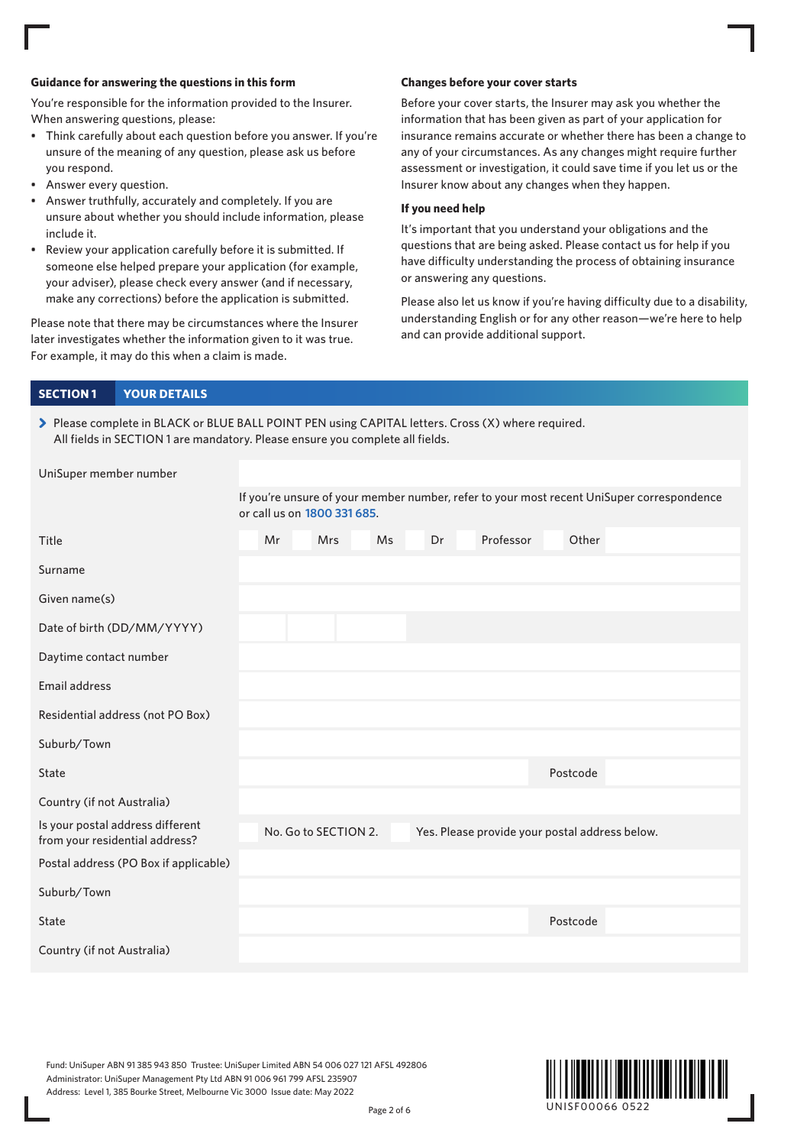## **Guidance for answering the questions in this form**

You're responsible for the information provided to the Insurer. When answering questions, please:

- Think carefully about each question before you answer. If you're unsure of the meaning of any question, please ask us before you respond.
- Answer every question.
- Answer truthfully, accurately and completely. If you are unsure about whether you should include information, please include it.
- Review your application carefully before it is submitted. If someone else helped prepare your application (for example, your adviser), please check every answer (and if necessary, make any corrections) before the application is submitted.

Please note that there may be circumstances where the Insurer later investigates whether the information given to it was true. For example, it may do this when a claim is made.

### **Changes before your cover starts**

Before your cover starts, the Insurer may ask you whether the information that has been given as part of your application for insurance remains accurate or whether there has been a change to any of your circumstances. As any changes might require further assessment or investigation, it could save time if you let us or the Insurer know about any changes when they happen.

## **If you need help**

It's important that you understand your obligations and the questions that are being asked. Please contact us for help if you have difficulty understanding the process of obtaining insurance or answering any questions.

Please also let us know if you're having difficulty due to a disability, understanding English or for any other reason—we're here to help and can provide additional support.

| <b>YOUR DETAILS</b><br><b>SECTION 1</b>                                                                                                                                             |    |                             |           |    |                                                |          |                                                                                           |
|-------------------------------------------------------------------------------------------------------------------------------------------------------------------------------------|----|-----------------------------|-----------|----|------------------------------------------------|----------|-------------------------------------------------------------------------------------------|
| > Please complete in BLACK or BLUE BALL POINT PEN using CAPITAL letters. Cross (X) where required.<br>All fields in SECTION 1 are mandatory. Please ensure you complete all fields. |    |                             |           |    |                                                |          |                                                                                           |
| UniSuper member number                                                                                                                                                              |    |                             |           |    |                                                |          |                                                                                           |
|                                                                                                                                                                                     |    | or call us on 1800 331 685. |           |    |                                                |          | If you're unsure of your member number, refer to your most recent UniSuper correspondence |
| Title                                                                                                                                                                               | Mr | <b>Mrs</b>                  | <b>Ms</b> | Dr | Professor                                      | Other    |                                                                                           |
| Surname                                                                                                                                                                             |    |                             |           |    |                                                |          |                                                                                           |
| Given name(s)                                                                                                                                                                       |    |                             |           |    |                                                |          |                                                                                           |
| Date of birth (DD/MM/YYYY)                                                                                                                                                          |    |                             |           |    |                                                |          |                                                                                           |
| Daytime contact number                                                                                                                                                              |    |                             |           |    |                                                |          |                                                                                           |
| Email address                                                                                                                                                                       |    |                             |           |    |                                                |          |                                                                                           |
| Residential address (not PO Box)                                                                                                                                                    |    |                             |           |    |                                                |          |                                                                                           |
| Suburb/Town                                                                                                                                                                         |    |                             |           |    |                                                |          |                                                                                           |
| State                                                                                                                                                                               |    |                             |           |    |                                                | Postcode |                                                                                           |
| Country (if not Australia)                                                                                                                                                          |    |                             |           |    |                                                |          |                                                                                           |
| Is your postal address different<br>from your residential address?                                                                                                                  |    | No. Go to SECTION 2.        |           |    | Yes. Please provide your postal address below. |          |                                                                                           |
| Postal address (PO Box if applicable)                                                                                                                                               |    |                             |           |    |                                                |          |                                                                                           |
| Suburb/Town                                                                                                                                                                         |    |                             |           |    |                                                |          |                                                                                           |
| State                                                                                                                                                                               |    |                             |           |    |                                                | Postcode |                                                                                           |
| Country (if not Australia)                                                                                                                                                          |    |                             |           |    |                                                |          |                                                                                           |

Fund: UniSuper ABN 91 385 943 850 Trustee: UniSuper Limited ABN 54 006 027 121 AFSL 492806 Administrator: UniSuper Management Pty Ltd ABN 91 006 961 799 AFSL 235907 Address: Level 1, 385 Bourke Street, Melbourne Vic 3000 Issue date: May 2022

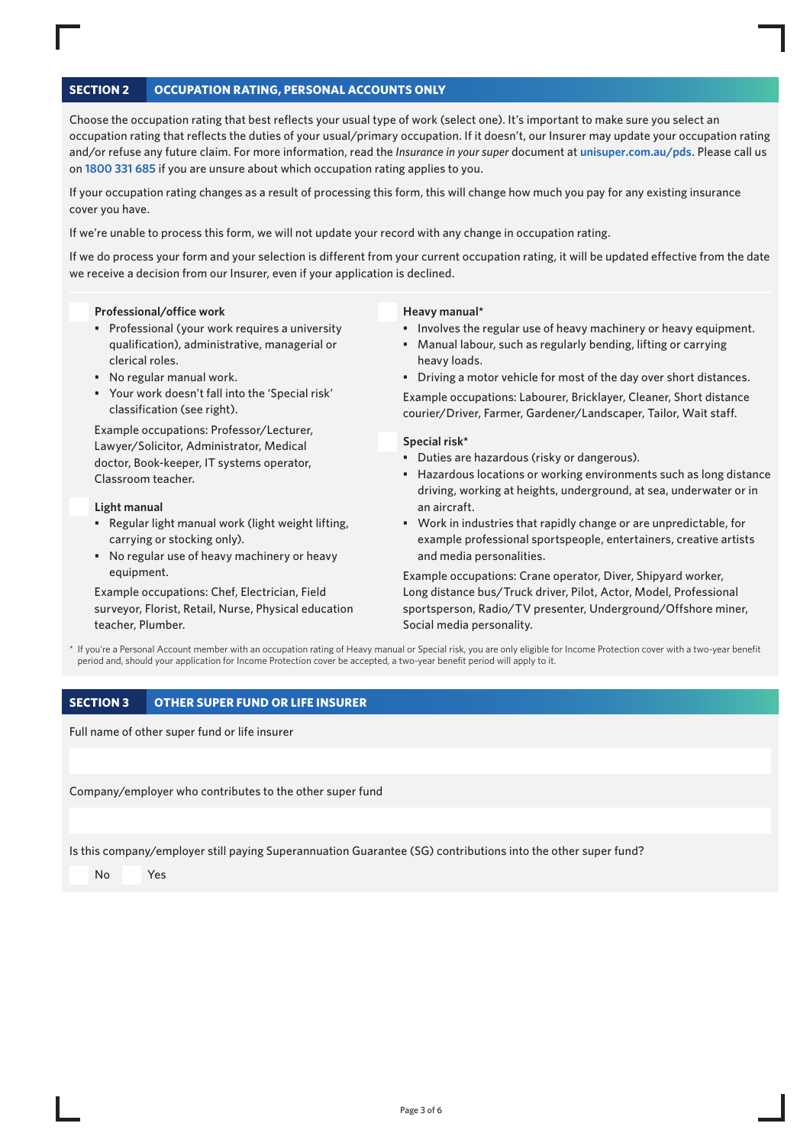# **SECTION 2 OCCUPATION RATING, PERSONAL ACCOUNTS ONLY**

Choose the occupation rating that best reflects your usual type of work (select one). It's important to make sure you select an occupation rating that reflects the duties of your usual/primary occupation. If it doesn't, our Insurer may update your occupation rating and/or refuse any future claim. For more information, read the *Insurance in your super* document at **[unisuper.com.au/pds](http://unisuper.com.au/pds)** . Please call us on **1800 331 685** if you are unsure about which occupation rating applies to you.

If your occupation rating changes as a result of processing this form, this will change how much you pay for any existing insurance cover you have.

If we're unable to process this form, we will not update your record with any change in occupation rating.

If we do process your form and your selection is different from your current occupation rating, it will be updated effective from the date we receive a decision from our Insurer, even if your application is declined.

#### **Professional/office work**

- Professional (your work requires a university qualification), administrative, managerial or clerical roles.
- No regular manual work.
- Your work doesn't fall into the 'Special risk' classification (see right).

Example occupations: Professor/Lecturer, Lawyer/Solicitor, Administrator, Medical doctor, Book-keeper, IT systems operator, Classroom teacher.

#### **Light manual**

- Regular light manual work (light weight lifting, carrying or stocking only).
- No regular use of heavy machinery or heavy equipment.

Example occupations: Chef, Electrician, Field surveyor, Florist, Retail, Nurse, Physical education teacher, Plumber.

#### **Heavy manual\***

- Involves the regular use of heavy machinery or heavy equipment.
- Manual labour, such as regularly bending, lifting or carrying heavy loads.
- Driving a motor vehicle for most of the day over short distances.

Example occupations: Labourer, Bricklayer, Cleaner, Short distance courier/Driver, Farmer, Gardener/Landscaper, Tailor, Wait staff.

## **Special risk\***

- Duties are hazardous (risky or dangerous).
- Hazardous locations or working environments such as long distance driving, working at heights, underground, at sea, underwater or in an aircraft.
- Work in industries that rapidly change or are unpredictable, for example professional sportspeople, entertainers, creative artists and media personalities.

Example occupations: Crane operator, Diver, Shipyard worker, Long distance bus/Truck driver, Pilot, Actor, Model, Professional sportsperson, Radio/TV presenter, Underground/Offshore miner, Social media personality.

\* If you're a Personal Account member with an occupation rating of Heavy manual or Special risk, you are only eligible for Income Protection cover with a two-year benefit period and, should your application for Income Protection cover be accepted, a two-year benefit period will apply to it.

## **SECTION 3 OTHER SUPER FUND OR LIFE INSURER**

Full name of other super fund or life insurer

Company/employer who contributes to the other super fund

Is this company/employer still paying Superannuation Guarantee (SG) contributions into the other super fund?

No Yes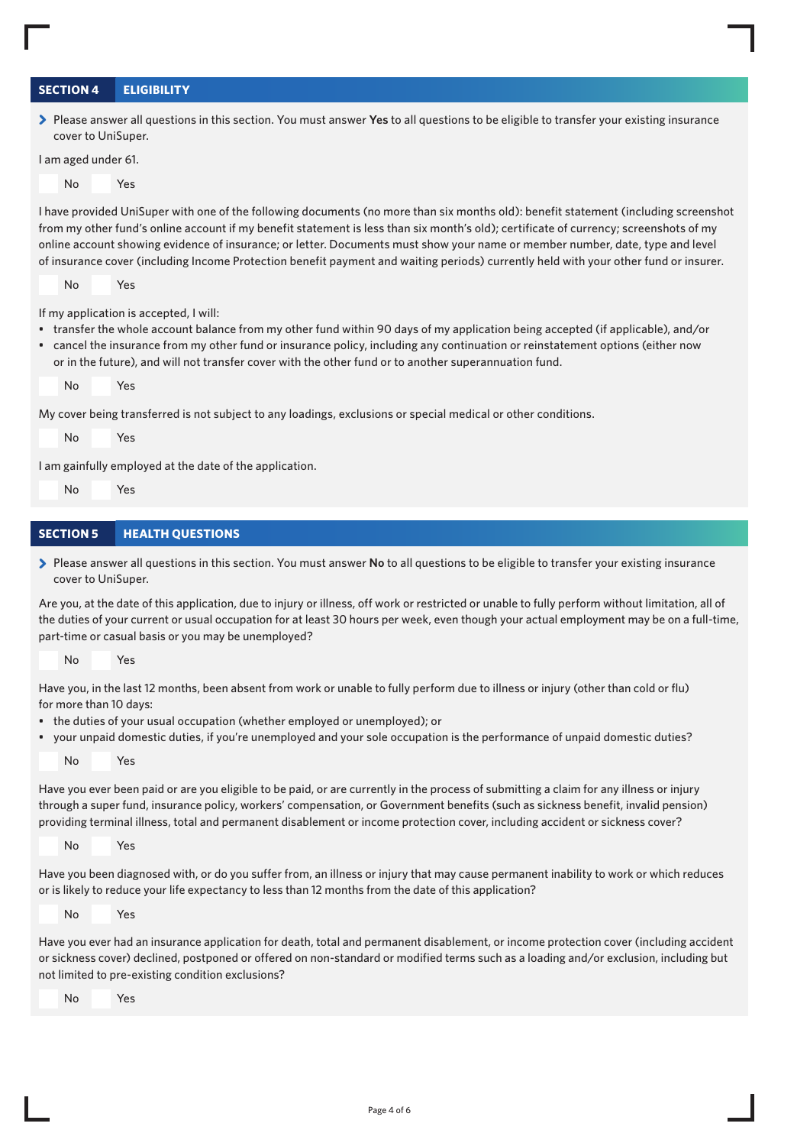# **SECTION 4 ELIGIBILITY**

> Please answer all questions in this section. You must answer **Yes** to all questions to be eligible to transfer your existing insurance cover to UniSuper.

I am aged under 61.



I have provided UniSuper with one of the following documents (no more than six months old): benefit statement (including screenshot from my other fund's online account if my benefit statement is less than six month's old); certificate of currency; screenshots of my online account showing evidence of insurance; or letter. Documents must show your name or member number, date, type and level of insurance cover (including Income Protection benefit payment and waiting periods) currently held with your other fund or insurer.

No Yes

If my application is accepted, I will:

- transfer the whole account balance from my other fund within 90 days of my application being accepted (if applicable), and/or
- cancel the insurance from my other fund or insurance policy, including any continuation or reinstatement options (either now or in the future), and will not transfer cover with the other fund or to another superannuation fund.

No Yes

My cover being transferred is not subject to any loadings, exclusions or special medical or other conditions.

No Yes

I am gainfully employed at the date of the application.

```
 No   Yes
```
# **SECTION 5 HEALTH QUESTIONS**

> Please answer all questions in this section. You must answer **No** to all questions to be eligible to transfer your existing insurance cover to UniSuper.

Are you, at the date of this application, due to injury or illness, off work or restricted or unable to fully perform without limitation, all of the duties of your current or usual occupation for at least 30 hours per week, even though your actual employment may be on a full-time, part-time or casual basis or you may be unemployed?

No Yes

Have you, in the last 12 months, been absent from work or unable to fully perform due to illness or injury (other than cold or flu) for more than 10 days:

- the duties of your usual occupation (whether employed or unemployed); or
- your unpaid domestic duties, if you're unemployed and your sole occupation is the performance of unpaid domestic duties?

No Yes

Have you ever been paid or are you eligible to be paid, or are currently in the process of submitting a claim for any illness or injury through a super fund, insurance policy, workers' compensation, or Government benefits (such as sickness benefit, invalid pension) providing terminal illness, total and permanent disablement or income protection cover, including accident or sickness cover?

No Yes

Have you been diagnosed with, or do you suffer from, an illness or injury that may cause permanent inability to work or which reduces or is likely to reduce your life expectancy to less than 12 months from the date of this application?

No Yes

Have you ever had an insurance application for death, total and permanent disablement, or income protection cover (including accident or sickness cover) declined, postponed or offered on non-standard or modified terms such as a loading and/or exclusion, including but not limited to pre-existing condition exclusions?

No Yes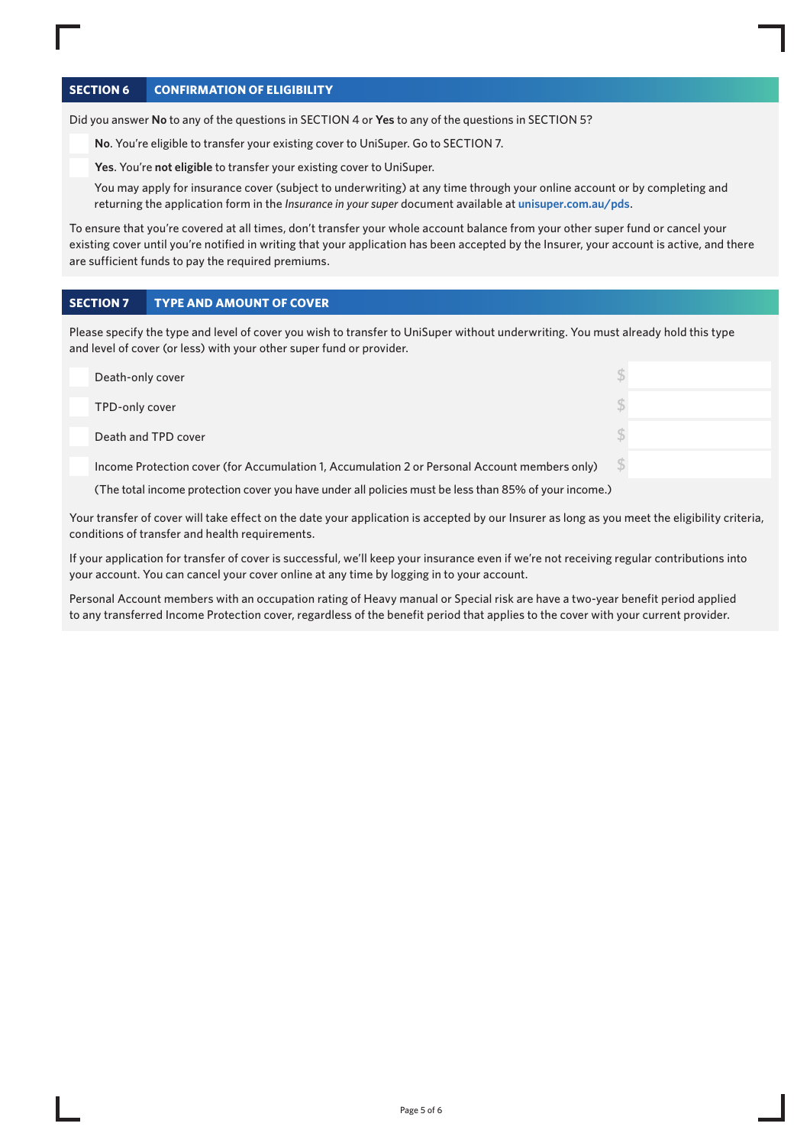# **SECTION 6 CONFIRMATION OF ELIGIBILITY**

Did you answer **No** to any of the questions in SECTION 4 or **Yes** to any of the questions in SECTION 5?

**No**. You're eligible to transfer your existing cover to UniSuper. Go to SECTION 7.

**Yes**. You're **not eligible** to transfer your existing cover to UniSuper.

You may apply for insurance cover (subject to underwriting) at any time through your online account or by completing and returning the application form in the *Insurance in your super* document available at **[unisuper.com.au/pds](http://unisuper.com.au/pds)** .

To ensure that you're covered at all times, don't transfer your whole account balance from your other super fund or cancel your existing cover until you're notified in writing that your application has been accepted by the Insurer, your account is active, and there are sufficient funds to pay the required premiums.

# **SECTION 7 TYPE AND AMOUNT OF COVER**

Please specify the type and level of cover you wish to transfer to UniSuper without underwriting. You must already hold this type and level of cover (or less) with your other super fund or provider.

| Death-only cover                                                                                      |  |
|-------------------------------------------------------------------------------------------------------|--|
| TPD-only cover                                                                                        |  |
| Death and TPD cover                                                                                   |  |
| Income Protection cover (for Accumulation 1, Accumulation 2 or Personal Account members only)         |  |
| (The total income protection cover you have under all policies must be less than 85% of your income.) |  |

Your transfer of cover will take effect on the date your application is accepted by our Insurer as long as you meet the eligibility criteria, conditions of transfer and health requirements.

If your application for transfer of cover is successful, we'll keep your insurance even if we're not receiving regular contributions into your account. You can cancel your cover online at any time by logging in to your account.

Personal Account members with an occupation rating of Heavy manual or Special risk are have a two-year benefit period applied to any transferred Income Protection cover, regardless of the benefit period that applies to the cover with your current provider.